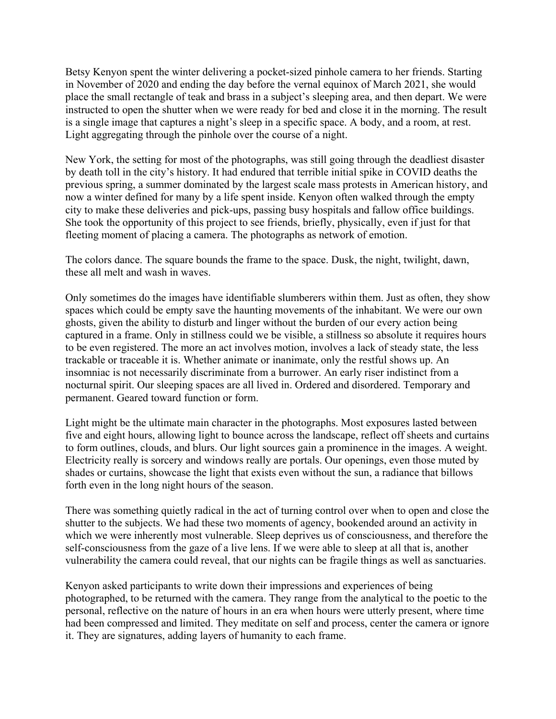Betsy Kenyon spent the winter delivering a pocket-sized pinhole camera to her friends. Starting in November of 2020 and ending the day before the vernal equinox of March 2021, she would place the small rectangle of teak and brass in a subject's sleeping area, and then depart. We were instructed to open the shutter when we were ready for bed and close it in the morning. The result is a single image that captures a night's sleep in a specific space. A body, and a room, at rest. Light aggregating through the pinhole over the course of a night.

New York, the setting for most of the photographs, was still going through the deadliest disaster by death toll in the city's history. It had endured that terrible initial spike in COVID deaths the previous spring, a summer dominated by the largest scale mass protests in American history, and now a winter defined for many by a life spent inside. Kenyon often walked through the empty city to make these deliveries and pick-ups, passing busy hospitals and fallow office buildings. She took the opportunity of this project to see friends, briefly, physically, even if just for that fleeting moment of placing a camera. The photographs as network of emotion.

The colors dance. The square bounds the frame to the space. Dusk, the night, twilight, dawn, these all melt and wash in waves.

Only sometimes do the images have identifiable slumberers within them. Just as often, they show spaces which could be empty save the haunting movements of the inhabitant. We were our own ghosts, given the ability to disturb and linger without the burden of our every action being captured in a frame. Only in stillness could we be visible, a stillness so absolute it requires hours to be even registered. The more an act involves motion, involves a lack of steady state, the less trackable or traceable it is. Whether animate or inanimate, only the restful shows up. An insomniac is not necessarily discriminate from a burrower. An early riser indistinct from a nocturnal spirit. Our sleeping spaces are all lived in. Ordered and disordered. Temporary and permanent. Geared toward function or form.

Light might be the ultimate main character in the photographs. Most exposures lasted between five and eight hours, allowing light to bounce across the landscape, reflect off sheets and curtains to form outlines, clouds, and blurs. Our light sources gain a prominence in the images. A weight. Electricity really is sorcery and windows really are portals. Our openings, even those muted by shades or curtains, showcase the light that exists even without the sun, a radiance that billows forth even in the long night hours of the season.

There was something quietly radical in the act of turning control over when to open and close the shutter to the subjects. We had these two moments of agency, bookended around an activity in which we were inherently most vulnerable. Sleep deprives us of consciousness, and therefore the self-consciousness from the gaze of a live lens. If we were able to sleep at all that is, another vulnerability the camera could reveal, that our nights can be fragile things as well as sanctuaries.

Kenyon asked participants to write down their impressions and experiences of being photographed, to be returned with the camera. They range from the analytical to the poetic to the personal, reflective on the nature of hours in an era when hours were utterly present, where time had been compressed and limited. They meditate on self and process, center the camera or ignore it. They are signatures, adding layers of humanity to each frame.